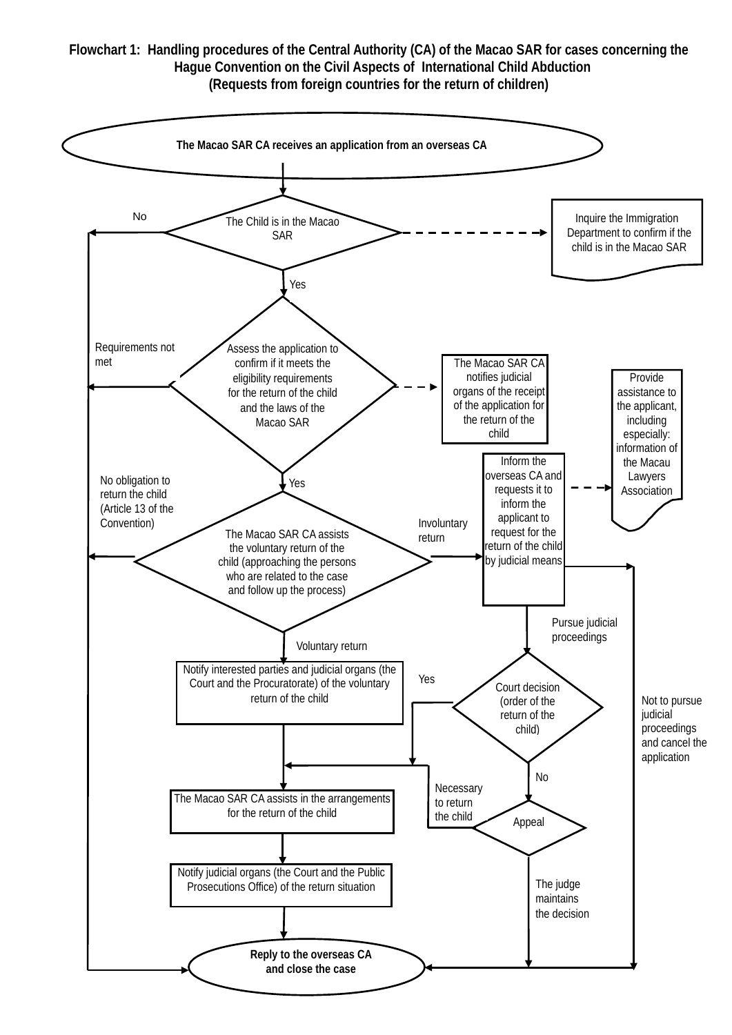## **Flowchart 1: Handling procedures of the Central Authority (CA) of the Macao SAR for cases concerning the Hague Convention on the Civil Aspects of International Child Abduction (Requests from foreign countries for the return of children)**